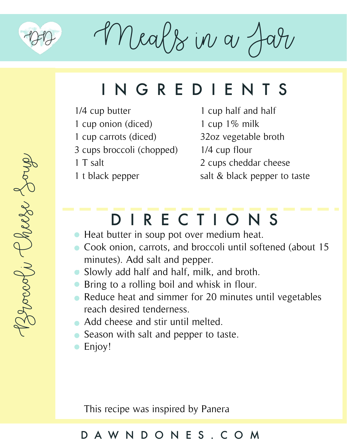

Meals in a Jo

### INGREDIENTS

- 1/4 cup butter
- 1 cup onion (diced)
- 1 cup carrots (diced)
- 3 cups broccoli (chopped)
- 1 T salt
- 1 t black pepper
- 1 cup half and half
- 1 cup 1% milk
- 32oz vegetable broth
- 1/4 cup flour
- 2 cups cheddar cheese
- salt & black pepper to taste

# DIRECTIONS

- Heat butter in soup pot over medium heat.
- Cook onion, carrots, and broccoli until softened (about 15 minutes). Add salt and pepper.
- Slowly add half and half, milk, and broth.
- **Bring to a rolling boil and whisk in flour.**
- Reduce heat and simmer for 20 minutes until vegetables reach desired tenderness.
- Add cheese and stir until melted.
- Season with salt and pepper to taste.
- Enjoy!

This recipe was inspired by Panera

# Broccoli Cheese SoupStoreoli Cheese Son

#### DAWNDONES.COM